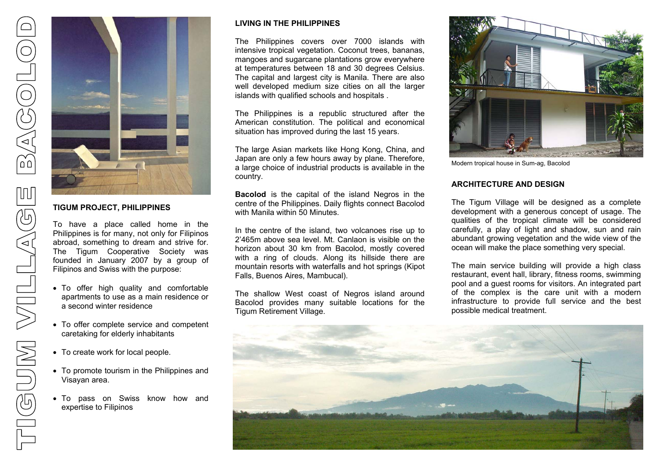

# **TIGUM PROJECT, PHILIPPINES**

To have a place called home in the Philippines is for many, not only for Filipinos abroad, something to dream and strive for. The Tigum Cooperative Society was founded in January 2007 by a group of Filipinos and Swiss with the purpose:

- To offer high quality and comfortable apartments to use as a main residence or a second winter residence
- To offer complete service and competent caretaking for elderly inhabitants
- To create work for local people.
- To promote tourism in the Philippines and Visayan area.
- To pass on Swiss know how and expertise to Filipinos

# **LIVING IN THE PHILIPPINES**

The Philippines covers over 7000 islands with intensive tropical vegetation. Coconut trees, bananas, mangoes and sugarcane plantations grow everywhere at temperatures between 18 and 30 degrees Celsius. The capital and largest city is Manila. There are also well developed medium size cities on all the larger islands with qualified schools and hospitals .

The Philippines is a republic structured after the American constitution. The political and economical situation has improved during the last 15 years.

The large Asian markets like Hong Kong, China, and Japan are only a few hours away by plane. Therefore, a large choice of industrial products is available in the country.

**Bacolod** is the capital of the island Negros in the centre of the Philippines. Daily flights connect Bacolod with Manila within 50 Minutes.

In the centre of the island, two volcanoes rise up to 2'465m above sea level. Mt. Canlaon is visible on the horizon about 30 km from Bacolod, mostly covered with a ring of clouds. Along its hillside there are mountain resorts with waterfalls and hot springs (Kipot Falls, Buenos Aires, Mambucal).

The shallow West coast of Negros island around Bacolod provides many suitable locations for the Tigum Retirement Village.



Modern tropical house in Sum-ag, Bacolod

## **ARCHITECTURE AND DESIGN**

The Tigum Village will be designed as a complete development with a generous concept of usage. The qualities of the tropical climate will be considered carefully, a play of light and shadow, sun and rain abundant growing vegetation and the wide view of the ocean will make the place something very special.

The main service building will provide a high class restaurant, event hall, library, fitness rooms, swimming pool and a guest rooms for visitors. An integrated part of the complex is the care unit with a modern infrastructure to provide full service and the best possible medical treatment.